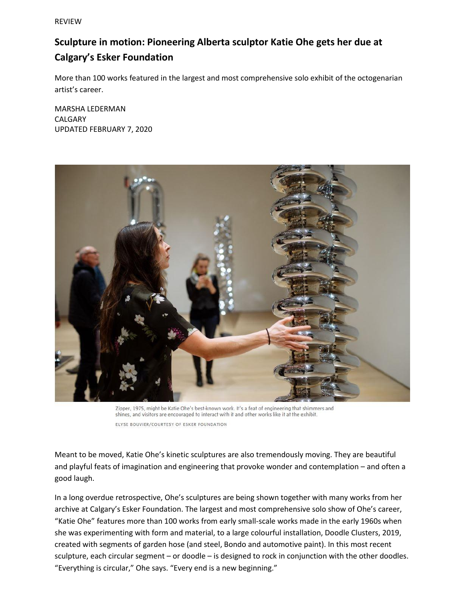REVIEW

## **Sculpture in motion: Pioneering Alberta sculptor Katie Ohe gets her due at Calgary's Esker Foundation**

More than 100 works featured in the largest and most comprehensive solo exhibit of the octogenarian artist's career.

MARSHA LEDERMAN CALGARY UPDATED FEBRUARY 7, 2020



Zipper, 1975, might be Katie Ohe's best-known work. It's a feat of engineering that shimmers and shines, and visitors are encouraged to interact with it and other works like it at the exhibit. ELYSE BOUVIER/COURTESY OF ESKER FOUNDATION

Meant to be moved, Katie Ohe's kinetic sculptures are also tremendously moving. They are beautiful and playful feats of imagination and engineering that provoke wonder and contemplation – and often a good laugh.

In a long overdue retrospective, Ohe's sculptures are being shown together with many works from her archive at Calgary's Esker Foundation. The largest and most comprehensive solo show of Ohe's career, "Katie Ohe" features more than 100 works from early small-scale works made in the early 1960s when she was experimenting with form and material, to a large colourful installation, Doodle Clusters, 2019, created with segments of garden hose (and steel, Bondo and automotive paint). In this most recent sculpture, each circular segment – or doodle – is designed to rock in conjunction with the other doodles. "Everything is circular," Ohe says. "Every end is a new beginning."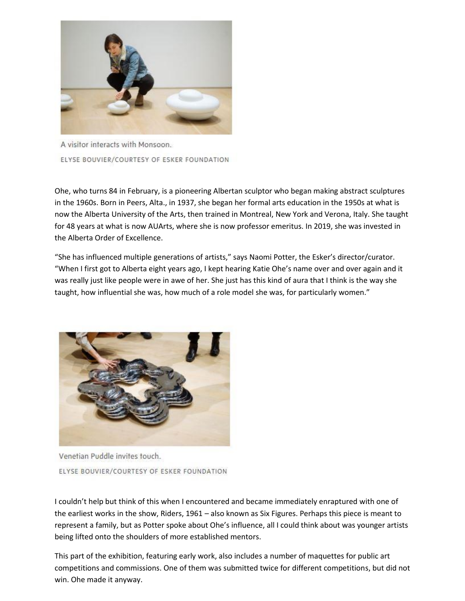

A visitor interacts with Monsoon. ELYSE BOUVIER/COURTESY OF ESKER FOUNDATION

Ohe, who turns 84 in February, is a pioneering Albertan sculptor who began making abstract sculptures in the 1960s. Born in Peers, Alta., in 1937, she began her formal arts education in the 1950s at what is now the Alberta University of the Arts, then trained in Montreal, New York and Verona, Italy. She taught for 48 years at what is now AUArts, where she is now professor emeritus. In 2019, she was invested in the Alberta Order of Excellence.

"She has influenced multiple generations of artists," says Naomi Potter, the Esker's director/curator. "When I first got to Alberta eight years ago, I kept hearing Katie Ohe's name over and over again and it was really just like people were in awe of her. She just has this kind of aura that I think is the way she taught, how influential she was, how much of a role model she was, for particularly women."



Venetian Puddle invites touch. ELYSE BOUVIER/COURTESY OF ESKER FOUNDATION

I couldn't help but think of this when I encountered and became immediately enraptured with one of the earliest works in the show, Riders, 1961 – also known as Six Figures. Perhaps this piece is meant to represent a family, but as Potter spoke about Ohe's influence, all I could think about was younger artists being lifted onto the shoulders of more established mentors.

This part of the exhibition, featuring early work, also includes a number of maquettes for public art competitions and commissions. One of them was submitted twice for different competitions, but did not win. Ohe made it anyway.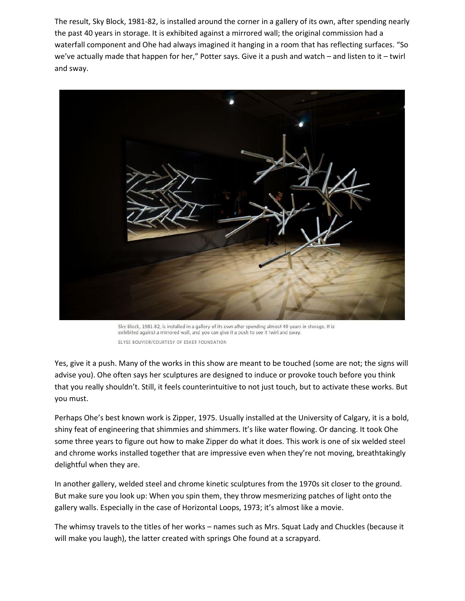The result, Sky Block, 1981-82, is installed around the corner in a gallery of its own, after spending nearly the past 40 years in storage. It is exhibited against a mirrored wall; the original commission had a waterfall component and Ohe had always imagined it hanging in a room that has reflecting surfaces. "So we've actually made that happen for her," Potter says. Give it a push and watch – and listen to it – twirl and sway.



Sky Block, 1981-82, is installed in a gallery of its own after spending almost 40 years in storage. It is exhibited against a mirrored wall, and you can give it a push to see it twirl and sway. ELYSE BOUVIER/COURTESY OF ESKER FOUNDATION

Yes, give it a push. Many of the works in this show are meant to be touched (some are not; the signs will advise you). Ohe often says her sculptures are designed to induce or provoke touch before you think that you really shouldn't. Still, it feels counterintuitive to not just touch, but to activate these works. But you must.

Perhaps Ohe's best known work is Zipper, 1975. Usually installed at the University of Calgary, it is a bold, shiny feat of engineering that shimmies and shimmers. It's like water flowing. Or dancing. It took Ohe some three years to figure out how to make Zipper do what it does. This work is one of six welded steel and chrome works installed together that are impressive even when they're not moving, breathtakingly delightful when they are.

In another gallery, welded steel and chrome kinetic sculptures from the 1970s sit closer to the ground. But make sure you look up: When you spin them, they throw mesmerizing patches of light onto the gallery walls. Especially in the case of Horizontal Loops, 1973; it's almost like a movie.

The whimsy travels to the titles of her works – names such as Mrs. Squat Lady and Chuckles (because it will make you laugh), the latter created with springs Ohe found at a scrapyard.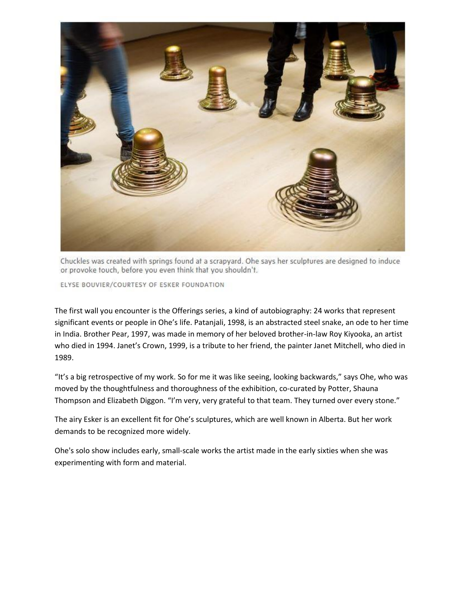

Chuckles was created with springs found at a scrapyard. Ohe says her sculptures are designed to induce or provoke touch, before you even think that you shouldn't.

ELYSE BOUVIER/COURTESY OF ESKER FOUNDATION

The first wall you encounter is the Offerings series, a kind of autobiography: 24 works that represent significant events or people in Ohe's life. Patanjali, 1998, is an abstracted steel snake, an ode to her time in India. Brother Pear, 1997, was made in memory of her beloved brother-in-law Roy Kiyooka, an artist who died in 1994. Janet's Crown, 1999, is a tribute to her friend, the painter Janet Mitchell, who died in 1989.

"It's a big retrospective of my work. So for me it was like seeing, looking backwards," says Ohe, who was moved by the thoughtfulness and thoroughness of the exhibition, co-curated by Potter, Shauna Thompson and Elizabeth Diggon. "I'm very, very grateful to that team. They turned over every stone."

The airy Esker is an excellent fit for Ohe's sculptures, which are well known in Alberta. But her work demands to be recognized more widely.

Ohe's solo show includes early, small-scale works the artist made in the early sixties when she was experimenting with form and material.